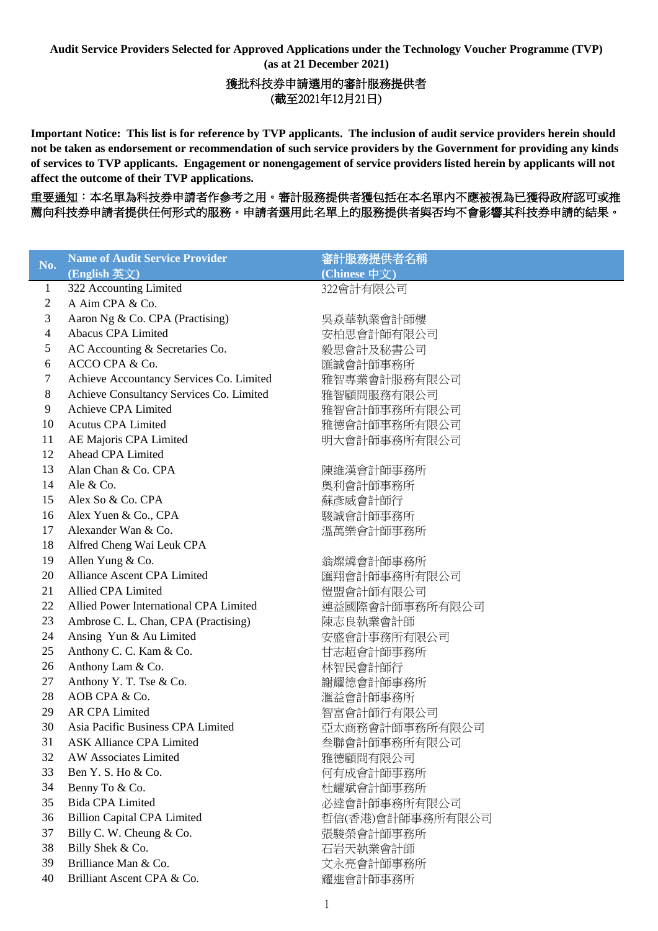**Audit Service Providers Selected for Approved Applications under the Technology Voucher Programme (TVP) (as at 21 December 2021)**

## 獲批科技券申請選用的審計服務提供者 (截至2021年12月21日)

**Important Notice: This list is for reference by TVP applicants. The inclusion of audit service providers herein should not be taken as endorsement or recommendation of such service providers by the Government for providing any kinds of services to TVP applicants. Engagement or nonengagement of service providers listed herein by applicants will not affect the outcome of their TVP applications.**

重要通知:本名單為科技券申請者作參考之用。審計服務提供者獲包括在本名單內不應被視為已獲得政府認可或推 薦向科技券申請者提供任何形式的服務。申請者選用此名單上的服務提供者與否均不會影響其科技券申請的結果。

| No.          | <b>Name of Audit Service Provider</b>    | 審計服務提供者名稱        |
|--------------|------------------------------------------|------------------|
|              | (English 英文)                             | (Chinese 中文)     |
| $\mathbf{1}$ | 322 Accounting Limited                   | 322會計有限公司        |
| 2            | A Aim CPA & Co.                          |                  |
| 3            | Aaron Ng & Co. CPA (Practising)          | 吳焱華執業會計師樓        |
| 4            | Abacus CPA Limited                       | 安柏思會計師有限公司       |
| 5            | AC Accounting & Secretaries Co.          | 毅思會計及秘書公司        |
| 6            | ACCO CPA & Co.                           | 匯誠會計師事務所         |
| 7            | Achieve Accountancy Services Co. Limited | 雅智專業會計服務有限公司     |
| 8            | Achieve Consultancy Services Co. Limited | 雅智顧問服務有限公司       |
| 9            | Achieve CPA Limited                      | 雅智會計師事務所有限公司     |
| 10           | <b>Acutus CPA Limited</b>                | 雅德會計師事務所有限公司     |
| 11           | AE Majoris CPA Limited                   | 明大會計師事務所有限公司     |
| 12           | Ahead CPA Limited                        |                  |
| 13           | Alan Chan & Co. CPA                      | 陳維漢會計師事務所        |
| 14           | Ale & Co.                                | 奧利會計師事務所         |
| 15           | Alex So & Co. CPA                        | 蘇彥威會計師行          |
| 16           | Alex Yuen & Co., CPA                     | 駿誠會計師事務所         |
| 17           | Alexander Wan & Co.                      | 溫萬樂會計師事務所        |
| 18           | Alfred Cheng Wai Leuk CPA                |                  |
| 19           | Allen Yung & Co.                         | 翁燦燐會計師事務所        |
| 20           | Alliance Ascent CPA Limited              | 匯翔會計師事務所有限公司     |
| 21           | Allied CPA Limited                       | 愷盟會計師有限公司        |
| 22           | Allied Power International CPA Limited   | 連益國際會計師事務所有限公司   |
| 23           | Ambrose C. L. Chan, CPA (Practising)     | 陳志良執業會計師         |
| 24           | Ansing Yun & Au Limited                  | 安盛會計事務所有限公司      |
| 25           | Anthony C. C. Kam & Co.                  | 甘志超會計師事務所        |
| 26           | Anthony Lam & Co.                        | 林智民會計師行          |
| 27           | Anthony Y. T. Tse & Co.                  | 謝耀德會計師事務所        |
| 28           | AOB CPA & Co.                            | 滙益會計師事務所         |
| 29           | <b>AR CPA Limited</b>                    | 智富會計師行有限公司       |
| 30           | Asia Pacific Business CPA Limited        | 亞太商務會計師事務所有限公司   |
| 31           | ASK Alliance CPA Limited                 | 叁聯會計師事務所有限公司     |
| 32           | AW Associates Limited                    | 雅德顧問有限公司         |
| 33           | Ben Y. S. Ho & Co.                       | 何有成會計師事務所        |
| 34           | Benny To & Co.                           | 杜耀斌會計師事務所        |
| 35           | <b>Bida CPA Limited</b>                  | 必達會計師事務所有限公司     |
| 36           | <b>Billion Capital CPA Limited</b>       | 哲信(香港)會計師事務所有限公司 |
| 37           | Billy C. W. Cheung & Co.                 | 張駿榮會計師事務所        |
| 38           | Billy Shek & Co.                         | 石岩天執業會計師         |
| 39           | Brilliance Man & Co.                     | 文永亮會計師事務所        |
| 40           | Brilliant Ascent CPA & Co.               | 耀進會計師事務所         |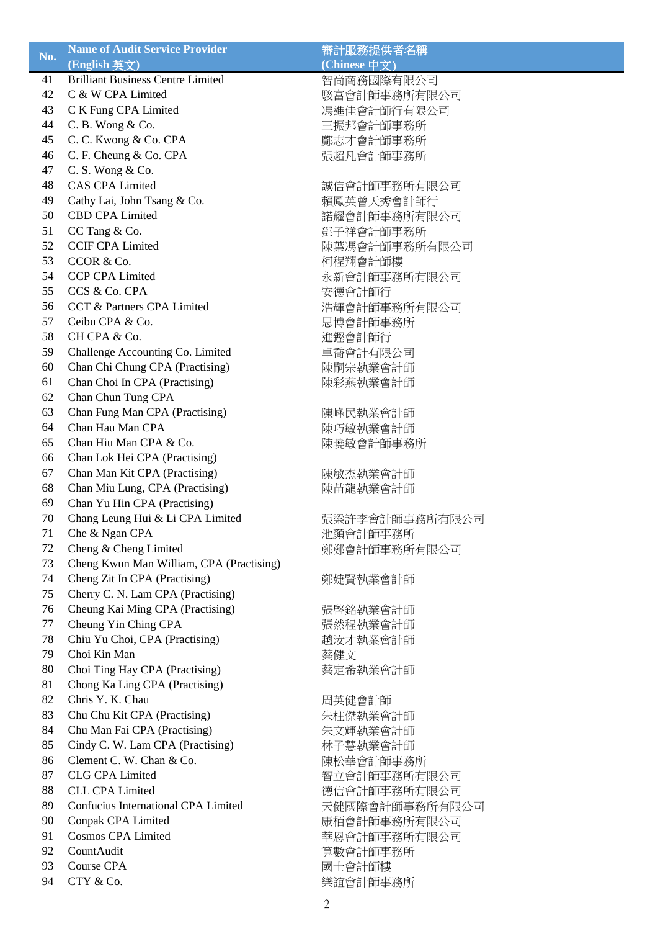| No. | <b>Name of Audit Service Provider</b>    | 審計服務提供者名稱      |
|-----|------------------------------------------|----------------|
|     | (English 英文)                             | (Chinese 中文)   |
| 41  | <b>Brilliant Business Centre Limited</b> | 智尚商務國際有限公司     |
| 42  | C & W CPA Limited                        | 駿富會計師事務所有限公司   |
| 43  | C K Fung CPA Limited                     | 馮進佳會計師行有限公司    |
| 44  | C. B. Wong & Co.                         | 王振邦會計師事務所      |
| 45  | C. C. Kwong & Co. CPA                    | 鄺志才會計師事務所      |
| 46  | C. F. Cheung & Co. CPA                   | 張超凡會計師事務所      |
| 47  | C. S. Wong & Co.                         |                |
| 48  | <b>CAS CPA Limited</b>                   | 誠信會計師事務所有限公司   |
| 49  | Cathy Lai, John Tsang & Co.              | 賴鳳英曾天秀會計師行     |
| 50  | <b>CBD CPA Limited</b>                   |                |
|     |                                          | 諾耀會計師事務所有限公司   |
| 51  | CC Tang & Co.                            | 鄧子祥會計師事務所      |
| 52  | <b>CCIF CPA Limited</b>                  | 陳葉馮會計師事務所有限公司  |
| 53  | CCOR & Co.                               | 柯程翔會計師樓        |
| 54  | <b>CCP CPA Limited</b>                   | 永新會計師事務所有限公司   |
| 55  | CCS & Co. CPA                            | 安德會計師行         |
| 56  | CCT & Partners CPA Limited               | 浩輝會計師事務所有限公司   |
| 57  | Ceibu CPA & Co.                          | 思博會計師事務所       |
| 58  | CH CPA & Co.                             | 進鏗會計師行         |
| 59  | Challenge Accounting Co. Limited         | 卓喬會計有限公司       |
| 60  | Chan Chi Chung CPA (Practising)          | 陳嗣宗執業會計師       |
| 61  | Chan Choi In CPA (Practising)            | 陳彩燕執業會計師       |
| 62  | Chan Chun Tung CPA                       |                |
| 63  | Chan Fung Man CPA (Practising)           | 陳峰民執業會計師       |
| 64  | Chan Hau Man CPA                         | 陳巧敏執業會計師       |
| 65  | Chan Hiu Man CPA & Co.                   | 陳曉敏會計師事務所      |
| 66  | Chan Lok Hei CPA (Practising)            |                |
| 67  | Chan Man Kit CPA (Practising)            | 陳敏杰執業會計師       |
| 68  | Chan Miu Lung, CPA (Practising)          | 陳苗龍執業會計師       |
| 69  | Chan Yu Hin CPA (Practising)             |                |
| 70  | Chang Leung Hui & Li CPA Limited         | 張梁許李會計師事務所有限公司 |
| 71  | Che & Ngan CPA                           | 池顏會計師事務所       |
| 72  | Cheng & Cheng Limited                    | 鄭鄭會計師事務所有限公司   |
| 73  | Cheng Kwun Man William, CPA (Practising) |                |
| 74  |                                          |                |
|     | Cheng Zit In CPA (Practising)            | 鄭婕賢執業會計師       |
| 75  | Cherry C. N. Lam CPA (Practising)        |                |
| 76  | Cheung Kai Ming CPA (Practising)         | 張啓銘執業會計師       |
| 77  | Cheung Yin Ching CPA                     | 張然程執業會計師       |
| 78  | Chiu Yu Choi, CPA (Practising)           | 趙汝才執業會計師       |
| 79  | Choi Kin Man                             | 蔡健文            |
| 80  | Choi Ting Hay CPA (Practising)           | 蔡定希執業會計師       |
| 81  | Chong Ka Ling CPA (Practising)           |                |
| 82  | Chris Y. K. Chau                         | 周英健會計師         |
| 83  | Chu Chu Kit CPA (Practising)             | 朱柱傑執業會計師       |
| 84  | Chu Man Fai CPA (Practising)             | 朱文輝執業會計師       |
| 85  | Cindy C. W. Lam CPA (Practising)         | 林子慧執業會計師       |
| 86  | Clement C. W. Chan & Co.                 | 陳松華會計師事務所      |
| 87  | <b>CLG CPA Limited</b>                   | 智立會計師事務所有限公司   |
| 88  | <b>CLL CPA Limited</b>                   | 德信會計師事務所有限公司   |
| 89  | Confucius International CPA Limited      | 天健國際會計師事務所有限公司 |
| 90  | Conpak CPA Limited                       | 康栢會計師事務所有限公司   |
| 91  | <b>Cosmos CPA Limited</b>                | 華恩會計師事務所有限公司   |
| 92  | CountAudit                               | 算數會計師事務所       |
| 93  | <b>Course CPA</b>                        | 國士會計師樓         |
| 94  | CTY & Co.                                | 樂誼會計師事務所       |
|     |                                          |                |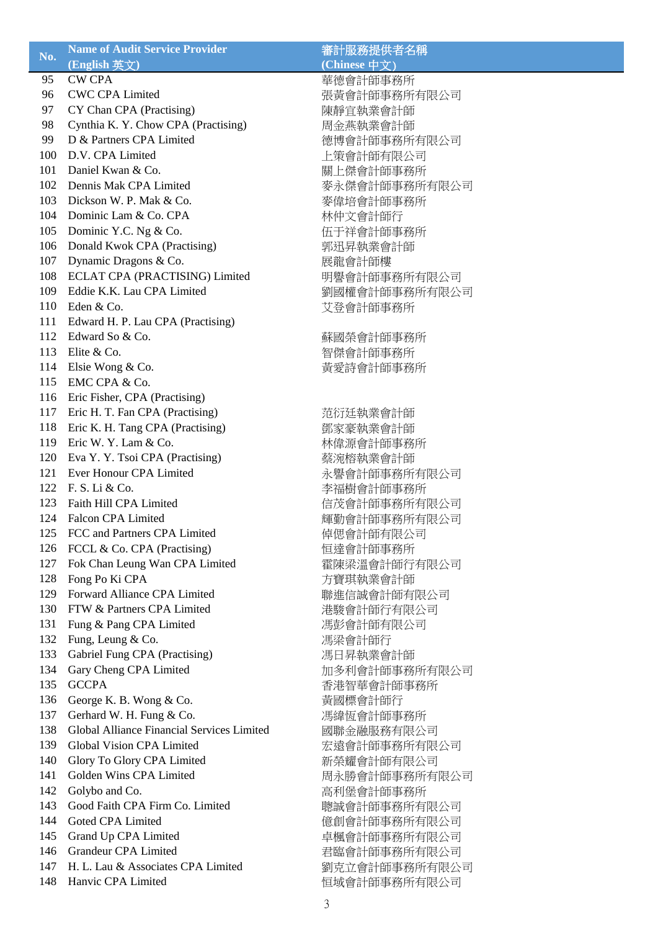| No. | <b>Name of Audit Service Provider</b>      | 審計服務提供者名稱     |
|-----|--------------------------------------------|---------------|
|     | (English 英文)                               | (Chinese 中文)  |
| 95  | <b>CW CPA</b>                              | 華德會計師事務所      |
| 96  | <b>CWC CPA Limited</b>                     | 張黃會計師事務所有限公司  |
| 97  | CY Chan CPA (Practising)                   | 陳靜宜執業會計師      |
| 98  | Cynthia K. Y. Chow CPA (Practising)        | 周金燕執業會計師      |
| 99  | D & Partners CPA Limited                   | 德博會計師事務所有限公司  |
| 100 | D.V. CPA Limited                           | 上策會計師有限公司     |
| 101 | Daniel Kwan & Co.                          | 關上傑會計師事務所     |
| 102 | Dennis Mak CPA Limited                     | 麥永傑會計師事務所有限公司 |
| 103 | Dickson W. P. Mak & Co.                    | 麥偉培會計師事務所     |
| 104 | Dominic Lam & Co. CPA                      | 林仲文會計師行       |
| 105 | Dominic Y.C. Ng & Co.                      | 伍于祥會計師事務所     |
| 106 | Donald Kwok CPA (Practising)               | 郭迅昇執業會計師      |
| 107 | Dynamic Dragons & Co.                      | 展龍會計師樓        |
| 108 | ECLAT CPA (PRACTISING) Limited             | 明譽會計師事務所有限公司  |
| 109 | Eddie K.K. Lau CPA Limited                 | 劉國權會計師事務所有限公司 |
| 110 | Eden & Co.                                 | 艾登會計師事務所      |
| 111 | Edward H. P. Lau CPA (Practising)          |               |
| 112 | Edward So & Co.                            | 蘇國榮會計師事務所     |
| 113 | Elite & Co.                                | 智傑會計師事務所      |
| 114 | Elsie Wong & Co.                           | 黃愛詩會計師事務所     |
| 115 | EMC CPA & Co.                              |               |
| 116 | Eric Fisher, CPA (Practising)              |               |
| 117 | Eric H. T. Fan CPA (Practising)            | 范衍廷執業會計師      |
| 118 | Eric K. H. Tang CPA (Practising)           | 鄧家豪執業會計師      |
| 119 | Eric W. Y. Lam & Co.                       | 林偉源會計師事務所     |
| 120 | Eva Y. Y. Tsoi CPA (Practising)            | 蔡涴榕執業會計師      |
| 121 | Ever Honour CPA Limited                    | 永譽會計師事務所有限公司  |
| 122 | F. S. Li & Co.                             | 李福樹會計師事務所     |
| 123 | Faith Hill CPA Limited                     | 信茂會計師事務所有限公司  |
| 124 | <b>Falcon CPA Limited</b>                  | 輝勤會計師事務所有限公司  |
| 125 | FCC and Partners CPA Limited               | 倬偲會計師有限公司     |
| 126 | FCCL & Co. CPA (Practising)                | 恒達會計師事務所      |
| 127 | Fok Chan Leung Wan CPA Limited             | 霍陳梁溫會計師行有限公司  |
| 128 | Fong Po Ki CPA                             | 方寶琪執業會計師      |
| 129 | Forward Alliance CPA Limited               | 聯進信誠會計師有限公司   |
| 130 | FTW & Partners CPA Limited                 | 港駿會計師行有限公司    |
| 131 | Fung & Pang CPA Limited                    | 馮彭會計師有限公司     |
| 132 | Fung, Leung & Co.                          | 馮梁會計師行        |
| 133 | Gabriel Fung CPA (Practising)              | 馮日昇執業會計師      |
| 134 | Gary Cheng CPA Limited                     | 加多利會計師事務所有限公司 |
| 135 | <b>GCCPA</b>                               | 香港智華會計師事務所    |
| 136 | George K. B. Wong & Co.                    | 黃國標會計師行       |
| 137 | Gerhard W. H. Fung & Co.                   | 馮緯恆會計師事務所     |
| 138 | Global Alliance Financial Services Limited | 國聯金融服務有限公司    |
| 139 | Global Vision CPA Limited                  | 宏遠會計師事務所有限公司  |
| 140 | Glory To Glory CPA Limited                 | 新榮耀會計師有限公司    |
| 141 | Golden Wins CPA Limited                    | 周永勝會計師事務所有限公司 |
| 142 | Golybo and Co.                             | 高利堡會計師事務所     |
| 143 | Good Faith CPA Firm Co. Limited            | 聰誠會計師事務所有限公司  |
| 144 | Goted CPA Limited                          | 億創會計師事務所有限公司  |
| 145 | Grand Up CPA Limited                       | 卓楓會計師事務所有限公司  |
| 146 | <b>Grandeur CPA Limited</b>                | 君臨會計師事務所有限公司  |
| 147 | H. L. Lau & Associates CPA Limited         | 劉克立會計師事務所有限公司 |
| 148 | Hanvic CPA Limited                         | 恒域會計師事務所有限公司  |
|     |                                            |               |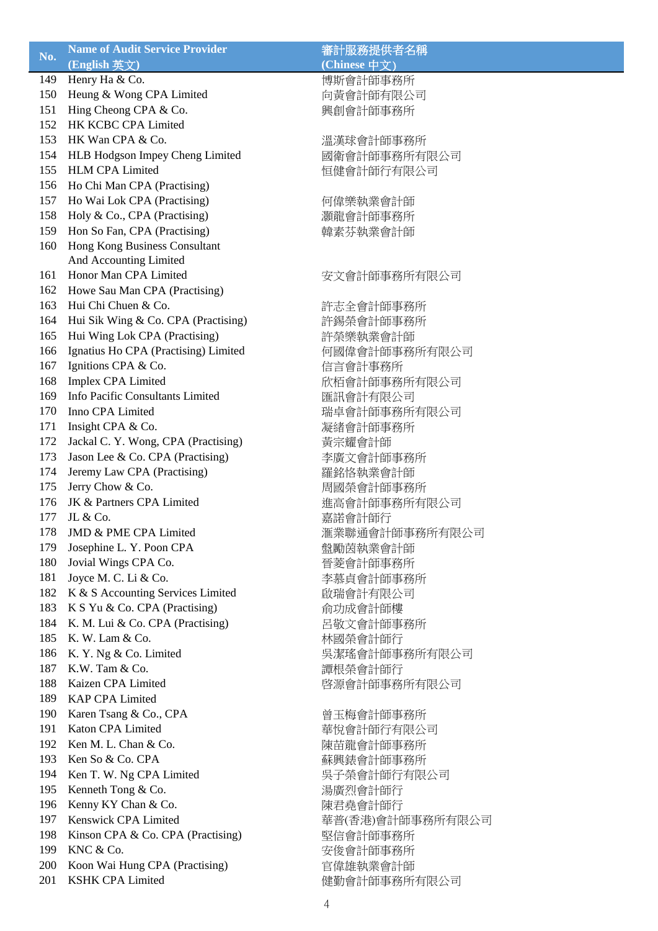| No. | <b>Name of Audit Service Provider</b>       | 審計服務提供者名稱        |
|-----|---------------------------------------------|------------------|
|     | (English 英文)                                | (Chinese 中文)     |
| 149 | Henry Ha & Co.                              | 博斯會計師事務所         |
| 150 | Heung & Wong CPA Limited                    | 向黃會計師有限公司        |
| 151 | Hing Cheong CPA & Co.                       | 興創會計師事務所         |
| 152 | HK KCBC CPA Limited                         |                  |
| 153 | HK Wan CPA & Co.                            | 溫漢球會計師事務所        |
| 154 | HLB Hodgson Impey Cheng Limited             | 國衛會計師事務所有限公司     |
| 155 | <b>HLM CPA Limited</b>                      | 恒健會計師行有限公司       |
| 156 | Ho Chi Man CPA (Practising)                 |                  |
| 157 | Ho Wai Lok CPA (Practising)                 | 何偉樂執業會計師         |
| 158 | Holy & Co., CPA (Practising)                | 灝龍會計師事務所         |
| 159 | Hon So Fan, CPA (Practising)                | 韓素芬執業會計師         |
| 160 | Hong Kong Business Consultant               |                  |
|     | And Accounting Limited                      |                  |
| 161 | Honor Man CPA Limited                       |                  |
|     |                                             | 安文會計師事務所有限公司     |
| 162 | Howe Sau Man CPA (Practising)               |                  |
| 163 | Hui Chi Chuen & Co.                         | 許志全會計師事務所        |
| 164 | Hui Sik Wing & Co. CPA (Practising)         | 許錫榮會計師事務所        |
| 165 | Hui Wing Lok CPA (Practising)               | 許榮樂執業會計師         |
| 166 | Ignatius Ho CPA (Practising) Limited        | 何國偉會計師事務所有限公司    |
| 167 | Ignitions CPA & Co.                         | 信言會計事務所          |
| 168 | Implex CPA Limited                          | 欣栢會計師事務所有限公司     |
| 169 | Info Pacific Consultants Limited            | 匯訊會計有限公司         |
| 170 | Inno CPA Limited                            | 瑞卓會計師事務所有限公司     |
| 171 | Insight CPA & Co.                           | 凝緒會計師事務所         |
| 172 | Jackal C. Y. Wong, CPA (Practising)         | 黃宗耀會計師           |
| 173 | Jason Lee & Co. CPA (Practising)            | 李廣文會計師事務所        |
| 174 | Jeremy Law CPA (Practising)                 | 羅銘恪執業會計師         |
| 175 | Jerry Chow & Co.                            | 周國榮會計師事務所        |
| 176 | JK & Partners CPA Limited                   | 進高會計師事務所有限公司     |
| 177 | JL & Co.                                    | 嘉諾會計師行           |
| 178 | <b>JMD &amp; PME CPA Limited</b>            | 滙業聯通會計師事務所有限公司   |
| 179 | Josephine L. Y. Poon CPA                    | 盤勵茵執業會計師         |
| 180 | Jovial Wings CPA Co.                        | 晉菱會計師事務所         |
| 181 | Joyce M. C. Li & Co.                        | 李慕貞會計師事務所        |
| 182 | K & S Accounting Services Limited           | 啟瑞會計有限公司         |
| 183 | K S Yu & Co. CPA (Practising)               | 俞功成會計師樓          |
| 184 | K. M. Lui & Co. CPA (Practising)            | 呂敬文會計師事務所        |
| 185 | K. W. Lam & Co.                             | 林國榮會計師行          |
| 186 | K. Y. Ng & Co. Limited                      | 吳潔瑤會計師事務所有限公司    |
| 187 | K.W. Tam & Co.                              | 譚根榮會計師行          |
| 188 | Kaizen CPA Limited                          | 啓源會計師事務所有限公司     |
| 189 | <b>KAP CPA Limited</b>                      |                  |
| 190 |                                             |                  |
|     | Karen Tsang & Co., CPA<br>Katon CPA Limited | 曾玉梅會計師事務所        |
| 191 |                                             | 華悅會計師行有限公司       |
| 192 | Ken M. L. Chan & Co.                        | 陳苗龍會計師事務所        |
| 193 | Ken So & Co. CPA                            | 蘇興錶會計師事務所        |
| 194 | Ken T. W. Ng CPA Limited                    | 吳子榮會計師行有限公司      |
| 195 | Kenneth Tong & Co.                          | 湯廣烈會計師行          |
| 196 | Kenny KY Chan & Co.                         | 陳君堯會計師行          |
| 197 | Kenswick CPA Limited                        | 華普(香港)會計師事務所有限公司 |
| 198 | Kinson CPA & Co. CPA (Practising)           | 堅信會計師事務所         |
| 199 | KNC & Co.                                   | 安俊會計師事務所         |
| 200 | Koon Wai Hung CPA (Practising)              | 官偉雄執業會計師         |
| 201 | <b>KSHK CPA Limited</b>                     | 健勤會計師事務所有限公司     |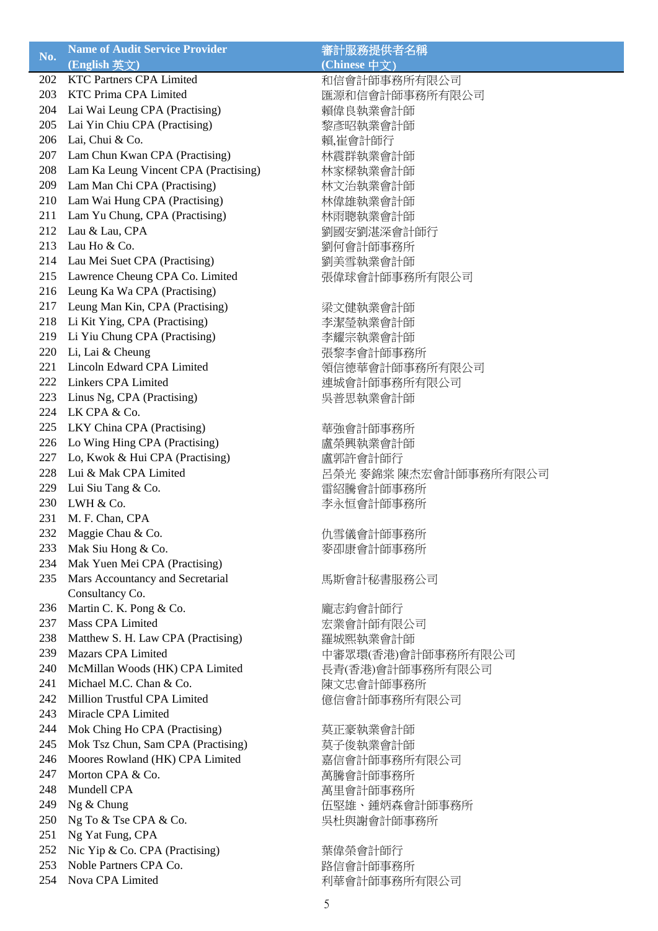| No.        | <b>Name of Audit Service Provider</b>             | 審計服務提供者名稱             |
|------------|---------------------------------------------------|-----------------------|
|            | (English 英文)                                      | (Chinese 中文)          |
| 202        | <b>KTC Partners CPA Limited</b>                   | 和信會計師事務所有限公司          |
| 203        | <b>KTC Prima CPA Limited</b>                      | 匯源和信會計師事務所有限公司        |
| 204        | Lai Wai Leung CPA (Practising)                    | 賴偉良執業會計師              |
| 205        | Lai Yin Chiu CPA (Practising)                     | 黎彥昭執業會計師              |
| 206        | Lai, Chui & Co.                                   | 賴,崔會計師行               |
| 207        | Lam Chun Kwan CPA (Practising)                    | 林震群執業會計師              |
| 208        | Lam Ka Leung Vincent CPA (Practising)             | 林家樑執業會計師              |
| 209        | Lam Man Chi CPA (Practising)                      | 林文治執業會計師              |
| 210        | Lam Wai Hung CPA (Practising)                     | 林偉雄執業會計師              |
| 211        | Lam Yu Chung, CPA (Practising)                    | 林雨聰執業會計師              |
| 212        | Lau & Lau, CPA                                    | 劉國安劉湛深會計師行            |
| 213        | Lau Ho & Co.                                      | 劉何會計師事務所              |
| 214        | Lau Mei Suet CPA (Practising)                     | 劉美雪執業會計師              |
| 215        | Lawrence Cheung CPA Co. Limited                   | 張偉球會計師事務所有限公司         |
| 216        | Leung Ka Wa CPA (Practising)                      |                       |
| 217        | Leung Man Kin, CPA (Practising)                   |                       |
| 218        | Li Kit Ying, CPA (Practising)                     | 梁文健執業會計師              |
| 219        |                                                   | 李潔瑩執業會計師              |
|            | Li Yiu Chung CPA (Practising)<br>Li, Lai & Cheung | 李耀宗執業會計師              |
| 220<br>221 | Lincoln Edward CPA Limited                        | 張黎李會計師事務所             |
|            |                                                   | 領信德華會計師事務所有限公司        |
| 222        | <b>Linkers CPA Limited</b>                        | 連城會計師事務所有限公司          |
| 223        | Linus Ng, CPA (Practising)                        | 吳普思執業會計師              |
| 224        | LK CPA & Co.                                      |                       |
| 225        | LKY China CPA (Practising)                        | 華強會計師事務所              |
| 226        | Lo Wing Hing CPA (Practising)                     | 盧榮興執業會計師              |
| 227        | Lo, Kwok & Hui CPA (Practising)                   | 盧郭許會計師行               |
| 228        | Lui & Mak CPA Limited                             | 呂榮光 麥錦棠 陳杰宏會計師事務所有限公司 |
| 229        | Lui Siu Tang & Co.                                | 雷紹騰會計師事務所             |
| 230        | LWH & Co.                                         | 李永恒會計師事務所             |
| 231        | M. F. Chan, CPA                                   |                       |
| 232        | Maggie Chau & Co.                                 | 仇雪儀會計師事務所             |
| 233        | Mak Siu Hong & Co.                                | 麥卲康會計師事務所             |
| 234        | Mak Yuen Mei CPA (Practising)                     |                       |
| 235        | Mars Accountancy and Secretarial                  | 馬斯會計秘書服務公司            |
|            | Consultancy Co.                                   |                       |
| 236        | Martin C. K. Pong & Co.                           | 龐志鈞會計師行               |
| 237        | <b>Mass CPA Limited</b>                           | 宏業會計師有限公司             |
| 238        | Matthew S. H. Law CPA (Practising)                | 羅城熙執業會計師              |
| 239        | <b>Mazars CPA Limited</b>                         | 中審眾環(香港)會計師事務所有限公司    |
| 240        | McMillan Woods (HK) CPA Limited                   | 長青(香港)會計師事務所有限公司      |
| 241        | Michael M.C. Chan & Co.                           | 陳文忠會計師事務所             |
| 242        | Million Trustful CPA Limited                      | 億信會計師事務所有限公司          |
| 243        | Miracle CPA Limited                               |                       |
| 244        | Mok Ching Ho CPA (Practising)                     | 莫正豪執業會計師              |
| 245        | Mok Tsz Chun, Sam CPA (Practising)                | 莫子俊執業會計師              |
| 246        | Moores Rowland (HK) CPA Limited                   | 嘉信會計師事務所有限公司          |
| 247        | Morton CPA & Co.                                  | 萬騰會計師事務所              |
| 248        | Mundell CPA                                       | 萬里會計師事務所              |
| 249        | Ng & Chung                                        | 伍堅雄、鍾炳森會計師事務所         |
| 250        | Ng To & Tse CPA & Co.                             | 吳杜與謝會計師事務所            |
| 251        | Ng Yat Fung, CPA                                  |                       |
| 252        | Nic Yip & Co. CPA (Practising)                    | 葉偉榮會計師行               |
| 253        | Noble Partners CPA Co.                            | 路信會計師事務所              |
| 254        | Nova CPA Limited                                  | 利華會計師事務所有限公司          |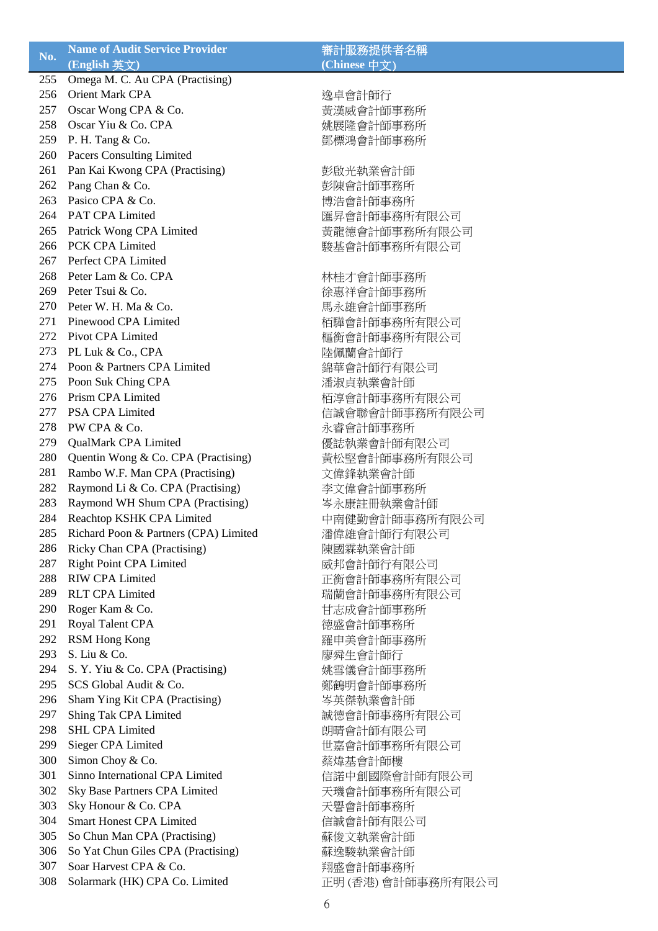| No. | <b>Name of Audit Service Provider</b> | 審計服務提供者名稱        |
|-----|---------------------------------------|------------------|
|     | (English 英文)                          | (Chinese 中文)     |
| 255 | Omega M. C. Au CPA (Practising)       |                  |
| 256 | Orient Mark CPA                       | 逸卓會計師行           |
| 257 | Oscar Wong CPA & Co.                  | 黃漢威會計師事務所        |
| 258 | Oscar Yiu & Co. CPA                   | 姚展隆會計師事務所        |
| 259 | P. H. Tang & Co.                      | 鄧標鴻會計師事務所        |
| 260 | Pacers Consulting Limited             |                  |
| 261 | Pan Kai Kwong CPA (Practising)        | 彭啟光執業會計師         |
| 262 | Pang Chan & Co.                       | 彭陳會計師事務所         |
| 263 | Pasico CPA & Co.                      | 博浩會計師事務所         |
| 264 | PAT CPA Limited                       |                  |
|     |                                       | 匯昇會計師事務所有限公司     |
| 265 | Patrick Wong CPA Limited              | 黃龍德會計師事務所有限公司    |
| 266 | PCK CPA Limited                       | 駿基會計師事務所有限公司     |
| 267 | Perfect CPA Limited                   |                  |
| 268 | Peter Lam & Co. CPA                   | 林桂才會計師事務所        |
| 269 | Peter Tsui & Co.                      | 徐惠祥會計師事務所        |
| 270 | Peter W. H. Ma & Co.                  | 馬永雄會計師事務所        |
| 271 | Pinewood CPA Limited                  | 栢驊會計師事務所有限公司     |
| 272 | Pivot CPA Limited                     | 樞衡會計師事務所有限公司     |
| 273 | PL Luk & Co., CPA                     | 陸佩蘭會計師行          |
| 274 | Poon & Partners CPA Limited           | 錦華會計師行有限公司       |
| 275 | Poon Suk Ching CPA                    | 潘淑貞執業會計師         |
| 276 | Prism CPA Limited                     | 栢淳會計師事務所有限公司     |
| 277 | PSA CPA Limited                       | 信誠會聯會計師事務所有限公司   |
| 278 | PW CPA & Co.                          | 永睿會計師事務所         |
| 279 | QualMark CPA Limited                  | 優誌執業會計師有限公司      |
| 280 | Quentin Wong & Co. CPA (Practising)   | 黃松堅會計師事務所有限公司    |
| 281 | Rambo W.F. Man CPA (Practising)       | 文偉鋒執業會計師         |
| 282 | Raymond Li & Co. CPA (Practising)     | 李文偉會計師事務所        |
| 283 | Raymond WH Shum CPA (Practising)      | 岑永康註冊執業會計師       |
| 284 | Reachtop KSHK CPA Limited             | 中南健勤會計師事務所有限公司   |
| 285 | Richard Poon & Partners (CPA) Limited | 潘偉雄會計師行有限公司      |
| 286 | Ricky Chan CPA (Practising)           | 陳國霖執業會計師         |
| 287 |                                       |                  |
|     | <b>Right Point CPA Limited</b>        | 威邦會計師行有限公司       |
| 288 | <b>RIW CPA Limited</b>                | 正衡會計師事務所有限公司     |
| 289 | <b>RLT CPA Limited</b>                | 瑞蘭會計師事務所有限公司     |
| 290 | Roger Kam & Co.                       | 甘志成會計師事務所        |
| 291 | Royal Talent CPA                      | 德盛會計師事務所         |
| 292 | <b>RSM Hong Kong</b>                  | 羅申美會計師事務所        |
| 293 | S. Liu & Co.                          | 廖舜生會計師行          |
| 294 | S. Y. Yiu & Co. CPA (Practising)      | 姚雪儀會計師事務所        |
| 295 | SCS Global Audit & Co.                | 鄭鶴明會計師事務所        |
| 296 | Sham Ying Kit CPA (Practising)        | 岑英傑執業會計師         |
| 297 | Shing Tak CPA Limited                 | 誠德會計師事務所有限公司     |
| 298 | <b>SHL CPA Limited</b>                | 朗晴會計師有限公司        |
| 299 | Sieger CPA Limited                    | 世嘉會計師事務所有限公司     |
| 300 | Simon Choy & Co.                      | 蔡煒基會計師樓          |
| 301 | Sinno International CPA Limited       | 信諾中創國際會計師有限公司    |
| 302 | Sky Base Partners CPA Limited         | 天璣會計師事務所有限公司     |
| 303 | Sky Honour & Co. CPA                  | 天譽會計師事務所         |
| 304 | <b>Smart Honest CPA Limited</b>       | 信誠會計師有限公司        |
| 305 | So Chun Man CPA (Practising)          | 蘇俊文執業會計師         |
| 306 | So Yat Chun Giles CPA (Practising)    | 蘇逸駿執業會計師         |
| 307 | Soar Harvest CPA & Co.                | 翔盛會計師事務所         |
| 308 | Solarmark (HK) CPA Co. Limited        | 正明(香港)會計師事務所有限公司 |
|     |                                       |                  |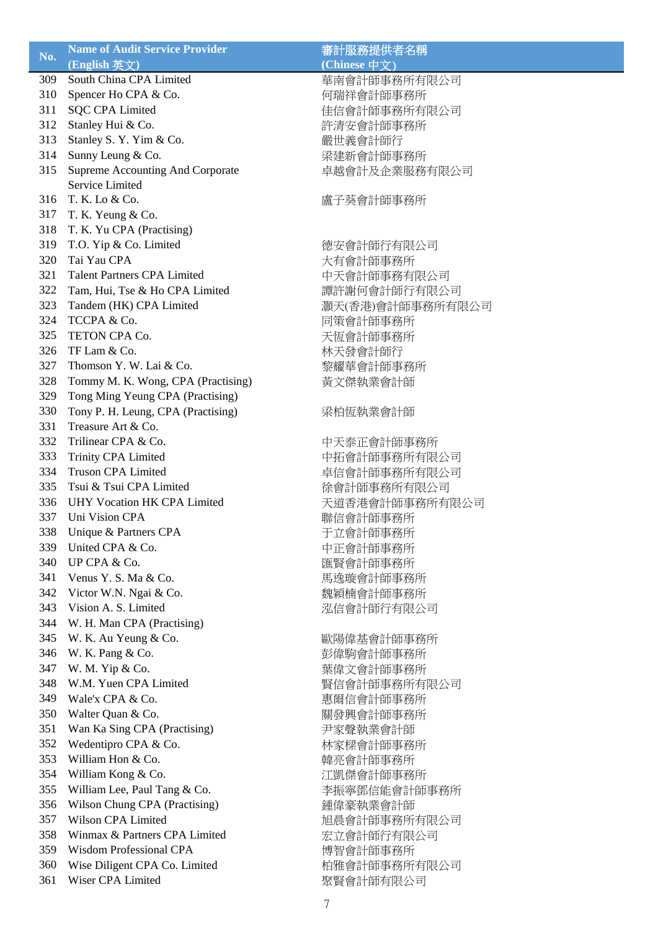| (English 英文)<br>(Chinese 中文)<br>South China CPA Limited<br>309<br>華南會計師事務所有限公司<br>310<br>Spencer Ho CPA & Co.<br>何瑞祥會計師事務所<br><b>SQC CPA Limited</b><br>311<br>佳信會計師事務所有限公司<br>312<br>Stanley Hui & Co.<br>許清安會計師事務所<br>313<br>Stanley S. Y. Yim & Co.<br>嚴世義會計師行<br>314<br>Sunny Leung & Co.<br>梁建新會計師事務所<br>315<br>Supreme Accounting And Corporate<br>卓越會計及企業服務有限公司<br>Service Limited<br>316<br>T. K. Lo & Co.<br>盧子葵會計師事務所<br>317<br>T. K. Yeung & Co.<br>318<br>T. K. Yu CPA (Practising)<br>319<br>T.O. Yip & Co. Limited<br>德安會計師行有限公司<br>Tai Yau CPA<br>320<br>大有會計師事務所<br>321<br><b>Talent Partners CPA Limited</b><br>中天會計師事務有限公司<br>322<br>Tam, Hui, Tse & Ho CPA Limited<br>譚許謝何會計師行有限公司<br>323<br>Tandem (HK) CPA Limited<br>灝天(香港)會計師事務所有限公司<br>324<br>TCCPA & Co.<br>同策會計師事務所<br>325<br>TETON CPA Co.<br>天恆會計師事務所<br>326<br>TF Lam & Co.<br>林天發會計師行<br>327<br>Thomson Y. W. Lai & Co.<br>黎耀華會計師事務所<br>328<br>Tommy M. K. Wong, CPA (Practising)<br>黃文傑執業會計師<br>329<br>Tong Ming Yeung CPA (Practising)<br>330<br>Tony P. H. Leung, CPA (Practising)<br>梁柏恆執業會計師<br>331<br>Treasure Art & Co.<br>332<br>Trilinear CPA & Co.<br>中天泰正會計師事務所<br>333<br><b>Trinity CPA Limited</b><br>中拓會計師事務所有限公司<br><b>Truson CPA Limited</b><br>334<br>卓信會計師事務所有限公司<br>335<br>Tsui & Tsui CPA Limited<br>徐會計師事務所有限公司<br>336<br><b>UHY Vocation HK CPA Limited</b><br>天道香港會計師事務所有限公司<br>337<br>Uni Vision CPA<br>聯信會計師事務所<br>338<br>Unique & Partners CPA<br>于立會計師事務所<br>339<br>United CPA & Co.<br>中正會計師事務所<br>340<br>UP CPA & Co.<br>匯賢會計師事務所<br>341<br>Venus Y. S. Ma & Co.<br>馬逸璇會計師事務所<br>342<br>Victor W.N. Ngai & Co.<br>魏穎楠會計師事務所<br>343<br>Vision A. S. Limited<br>泓信會計師行有限公司<br>344<br>W. H. Man CPA (Practising)<br>345<br>W. K. Au Yeung & Co.<br>歐陽偉基會計師事務所<br>346<br>W. K. Pang & Co.<br>彭偉駒會計師事務所<br>347<br>W. M. Yip & Co.<br>葉偉文會計師事務所<br>W.M. Yuen CPA Limited<br>賢信會計師事務所有限公司<br>348<br>Wale'x CPA & Co.<br>349<br>惠爾信會計師事務所<br>350<br>Walter Quan & Co.<br>關發興會計師事務所<br>Wan Ka Sing CPA (Practising)<br>351<br>尹家聲執業會計師<br>Wedentipro CPA & Co.<br>352<br>林家樑會計師事務所<br>William Hon & Co.<br>353<br>韓亮會計師事務所<br>354<br>William Kong & Co.<br>江凱傑會計師事務所<br>William Lee, Paul Tang & Co.<br>355<br>李振寧鄧信能會計師事務所 |     | <b>Name of Audit Service Provider</b> | 審計服務提供者名稱 |
|-------------------------------------------------------------------------------------------------------------------------------------------------------------------------------------------------------------------------------------------------------------------------------------------------------------------------------------------------------------------------------------------------------------------------------------------------------------------------------------------------------------------------------------------------------------------------------------------------------------------------------------------------------------------------------------------------------------------------------------------------------------------------------------------------------------------------------------------------------------------------------------------------------------------------------------------------------------------------------------------------------------------------------------------------------------------------------------------------------------------------------------------------------------------------------------------------------------------------------------------------------------------------------------------------------------------------------------------------------------------------------------------------------------------------------------------------------------------------------------------------------------------------------------------------------------------------------------------------------------------------------------------------------------------------------------------------------------------------------------------------------------------------------------------------------------------------------------------------------------------------------------------------------------------------------------------------------------------------------------------------------------------------------------------------------------------------------------------------------------------------------------------------------------------------------------------------------------------------------|-----|---------------------------------------|-----------|
|                                                                                                                                                                                                                                                                                                                                                                                                                                                                                                                                                                                                                                                                                                                                                                                                                                                                                                                                                                                                                                                                                                                                                                                                                                                                                                                                                                                                                                                                                                                                                                                                                                                                                                                                                                                                                                                                                                                                                                                                                                                                                                                                                                                                                               | No. |                                       |           |
|                                                                                                                                                                                                                                                                                                                                                                                                                                                                                                                                                                                                                                                                                                                                                                                                                                                                                                                                                                                                                                                                                                                                                                                                                                                                                                                                                                                                                                                                                                                                                                                                                                                                                                                                                                                                                                                                                                                                                                                                                                                                                                                                                                                                                               |     |                                       |           |
|                                                                                                                                                                                                                                                                                                                                                                                                                                                                                                                                                                                                                                                                                                                                                                                                                                                                                                                                                                                                                                                                                                                                                                                                                                                                                                                                                                                                                                                                                                                                                                                                                                                                                                                                                                                                                                                                                                                                                                                                                                                                                                                                                                                                                               |     |                                       |           |
|                                                                                                                                                                                                                                                                                                                                                                                                                                                                                                                                                                                                                                                                                                                                                                                                                                                                                                                                                                                                                                                                                                                                                                                                                                                                                                                                                                                                                                                                                                                                                                                                                                                                                                                                                                                                                                                                                                                                                                                                                                                                                                                                                                                                                               |     |                                       |           |
|                                                                                                                                                                                                                                                                                                                                                                                                                                                                                                                                                                                                                                                                                                                                                                                                                                                                                                                                                                                                                                                                                                                                                                                                                                                                                                                                                                                                                                                                                                                                                                                                                                                                                                                                                                                                                                                                                                                                                                                                                                                                                                                                                                                                                               |     |                                       |           |
|                                                                                                                                                                                                                                                                                                                                                                                                                                                                                                                                                                                                                                                                                                                                                                                                                                                                                                                                                                                                                                                                                                                                                                                                                                                                                                                                                                                                                                                                                                                                                                                                                                                                                                                                                                                                                                                                                                                                                                                                                                                                                                                                                                                                                               |     |                                       |           |
|                                                                                                                                                                                                                                                                                                                                                                                                                                                                                                                                                                                                                                                                                                                                                                                                                                                                                                                                                                                                                                                                                                                                                                                                                                                                                                                                                                                                                                                                                                                                                                                                                                                                                                                                                                                                                                                                                                                                                                                                                                                                                                                                                                                                                               |     |                                       |           |
|                                                                                                                                                                                                                                                                                                                                                                                                                                                                                                                                                                                                                                                                                                                                                                                                                                                                                                                                                                                                                                                                                                                                                                                                                                                                                                                                                                                                                                                                                                                                                                                                                                                                                                                                                                                                                                                                                                                                                                                                                                                                                                                                                                                                                               |     |                                       |           |
|                                                                                                                                                                                                                                                                                                                                                                                                                                                                                                                                                                                                                                                                                                                                                                                                                                                                                                                                                                                                                                                                                                                                                                                                                                                                                                                                                                                                                                                                                                                                                                                                                                                                                                                                                                                                                                                                                                                                                                                                                                                                                                                                                                                                                               |     |                                       |           |
|                                                                                                                                                                                                                                                                                                                                                                                                                                                                                                                                                                                                                                                                                                                                                                                                                                                                                                                                                                                                                                                                                                                                                                                                                                                                                                                                                                                                                                                                                                                                                                                                                                                                                                                                                                                                                                                                                                                                                                                                                                                                                                                                                                                                                               |     |                                       |           |
|                                                                                                                                                                                                                                                                                                                                                                                                                                                                                                                                                                                                                                                                                                                                                                                                                                                                                                                                                                                                                                                                                                                                                                                                                                                                                                                                                                                                                                                                                                                                                                                                                                                                                                                                                                                                                                                                                                                                                                                                                                                                                                                                                                                                                               |     |                                       |           |
|                                                                                                                                                                                                                                                                                                                                                                                                                                                                                                                                                                                                                                                                                                                                                                                                                                                                                                                                                                                                                                                                                                                                                                                                                                                                                                                                                                                                                                                                                                                                                                                                                                                                                                                                                                                                                                                                                                                                                                                                                                                                                                                                                                                                                               |     |                                       |           |
|                                                                                                                                                                                                                                                                                                                                                                                                                                                                                                                                                                                                                                                                                                                                                                                                                                                                                                                                                                                                                                                                                                                                                                                                                                                                                                                                                                                                                                                                                                                                                                                                                                                                                                                                                                                                                                                                                                                                                                                                                                                                                                                                                                                                                               |     |                                       |           |
|                                                                                                                                                                                                                                                                                                                                                                                                                                                                                                                                                                                                                                                                                                                                                                                                                                                                                                                                                                                                                                                                                                                                                                                                                                                                                                                                                                                                                                                                                                                                                                                                                                                                                                                                                                                                                                                                                                                                                                                                                                                                                                                                                                                                                               |     |                                       |           |
|                                                                                                                                                                                                                                                                                                                                                                                                                                                                                                                                                                                                                                                                                                                                                                                                                                                                                                                                                                                                                                                                                                                                                                                                                                                                                                                                                                                                                                                                                                                                                                                                                                                                                                                                                                                                                                                                                                                                                                                                                                                                                                                                                                                                                               |     |                                       |           |
|                                                                                                                                                                                                                                                                                                                                                                                                                                                                                                                                                                                                                                                                                                                                                                                                                                                                                                                                                                                                                                                                                                                                                                                                                                                                                                                                                                                                                                                                                                                                                                                                                                                                                                                                                                                                                                                                                                                                                                                                                                                                                                                                                                                                                               |     |                                       |           |
|                                                                                                                                                                                                                                                                                                                                                                                                                                                                                                                                                                                                                                                                                                                                                                                                                                                                                                                                                                                                                                                                                                                                                                                                                                                                                                                                                                                                                                                                                                                                                                                                                                                                                                                                                                                                                                                                                                                                                                                                                                                                                                                                                                                                                               |     |                                       |           |
|                                                                                                                                                                                                                                                                                                                                                                                                                                                                                                                                                                                                                                                                                                                                                                                                                                                                                                                                                                                                                                                                                                                                                                                                                                                                                                                                                                                                                                                                                                                                                                                                                                                                                                                                                                                                                                                                                                                                                                                                                                                                                                                                                                                                                               |     |                                       |           |
|                                                                                                                                                                                                                                                                                                                                                                                                                                                                                                                                                                                                                                                                                                                                                                                                                                                                                                                                                                                                                                                                                                                                                                                                                                                                                                                                                                                                                                                                                                                                                                                                                                                                                                                                                                                                                                                                                                                                                                                                                                                                                                                                                                                                                               |     |                                       |           |
|                                                                                                                                                                                                                                                                                                                                                                                                                                                                                                                                                                                                                                                                                                                                                                                                                                                                                                                                                                                                                                                                                                                                                                                                                                                                                                                                                                                                                                                                                                                                                                                                                                                                                                                                                                                                                                                                                                                                                                                                                                                                                                                                                                                                                               |     |                                       |           |
|                                                                                                                                                                                                                                                                                                                                                                                                                                                                                                                                                                                                                                                                                                                                                                                                                                                                                                                                                                                                                                                                                                                                                                                                                                                                                                                                                                                                                                                                                                                                                                                                                                                                                                                                                                                                                                                                                                                                                                                                                                                                                                                                                                                                                               |     |                                       |           |
|                                                                                                                                                                                                                                                                                                                                                                                                                                                                                                                                                                                                                                                                                                                                                                                                                                                                                                                                                                                                                                                                                                                                                                                                                                                                                                                                                                                                                                                                                                                                                                                                                                                                                                                                                                                                                                                                                                                                                                                                                                                                                                                                                                                                                               |     |                                       |           |
|                                                                                                                                                                                                                                                                                                                                                                                                                                                                                                                                                                                                                                                                                                                                                                                                                                                                                                                                                                                                                                                                                                                                                                                                                                                                                                                                                                                                                                                                                                                                                                                                                                                                                                                                                                                                                                                                                                                                                                                                                                                                                                                                                                                                                               |     |                                       |           |
|                                                                                                                                                                                                                                                                                                                                                                                                                                                                                                                                                                                                                                                                                                                                                                                                                                                                                                                                                                                                                                                                                                                                                                                                                                                                                                                                                                                                                                                                                                                                                                                                                                                                                                                                                                                                                                                                                                                                                                                                                                                                                                                                                                                                                               |     |                                       |           |
|                                                                                                                                                                                                                                                                                                                                                                                                                                                                                                                                                                                                                                                                                                                                                                                                                                                                                                                                                                                                                                                                                                                                                                                                                                                                                                                                                                                                                                                                                                                                                                                                                                                                                                                                                                                                                                                                                                                                                                                                                                                                                                                                                                                                                               |     |                                       |           |
|                                                                                                                                                                                                                                                                                                                                                                                                                                                                                                                                                                                                                                                                                                                                                                                                                                                                                                                                                                                                                                                                                                                                                                                                                                                                                                                                                                                                                                                                                                                                                                                                                                                                                                                                                                                                                                                                                                                                                                                                                                                                                                                                                                                                                               |     |                                       |           |
|                                                                                                                                                                                                                                                                                                                                                                                                                                                                                                                                                                                                                                                                                                                                                                                                                                                                                                                                                                                                                                                                                                                                                                                                                                                                                                                                                                                                                                                                                                                                                                                                                                                                                                                                                                                                                                                                                                                                                                                                                                                                                                                                                                                                                               |     |                                       |           |
|                                                                                                                                                                                                                                                                                                                                                                                                                                                                                                                                                                                                                                                                                                                                                                                                                                                                                                                                                                                                                                                                                                                                                                                                                                                                                                                                                                                                                                                                                                                                                                                                                                                                                                                                                                                                                                                                                                                                                                                                                                                                                                                                                                                                                               |     |                                       |           |
|                                                                                                                                                                                                                                                                                                                                                                                                                                                                                                                                                                                                                                                                                                                                                                                                                                                                                                                                                                                                                                                                                                                                                                                                                                                                                                                                                                                                                                                                                                                                                                                                                                                                                                                                                                                                                                                                                                                                                                                                                                                                                                                                                                                                                               |     |                                       |           |
|                                                                                                                                                                                                                                                                                                                                                                                                                                                                                                                                                                                                                                                                                                                                                                                                                                                                                                                                                                                                                                                                                                                                                                                                                                                                                                                                                                                                                                                                                                                                                                                                                                                                                                                                                                                                                                                                                                                                                                                                                                                                                                                                                                                                                               |     |                                       |           |
|                                                                                                                                                                                                                                                                                                                                                                                                                                                                                                                                                                                                                                                                                                                                                                                                                                                                                                                                                                                                                                                                                                                                                                                                                                                                                                                                                                                                                                                                                                                                                                                                                                                                                                                                                                                                                                                                                                                                                                                                                                                                                                                                                                                                                               |     |                                       |           |
|                                                                                                                                                                                                                                                                                                                                                                                                                                                                                                                                                                                                                                                                                                                                                                                                                                                                                                                                                                                                                                                                                                                                                                                                                                                                                                                                                                                                                                                                                                                                                                                                                                                                                                                                                                                                                                                                                                                                                                                                                                                                                                                                                                                                                               |     |                                       |           |
|                                                                                                                                                                                                                                                                                                                                                                                                                                                                                                                                                                                                                                                                                                                                                                                                                                                                                                                                                                                                                                                                                                                                                                                                                                                                                                                                                                                                                                                                                                                                                                                                                                                                                                                                                                                                                                                                                                                                                                                                                                                                                                                                                                                                                               |     |                                       |           |
|                                                                                                                                                                                                                                                                                                                                                                                                                                                                                                                                                                                                                                                                                                                                                                                                                                                                                                                                                                                                                                                                                                                                                                                                                                                                                                                                                                                                                                                                                                                                                                                                                                                                                                                                                                                                                                                                                                                                                                                                                                                                                                                                                                                                                               |     |                                       |           |
|                                                                                                                                                                                                                                                                                                                                                                                                                                                                                                                                                                                                                                                                                                                                                                                                                                                                                                                                                                                                                                                                                                                                                                                                                                                                                                                                                                                                                                                                                                                                                                                                                                                                                                                                                                                                                                                                                                                                                                                                                                                                                                                                                                                                                               |     |                                       |           |
|                                                                                                                                                                                                                                                                                                                                                                                                                                                                                                                                                                                                                                                                                                                                                                                                                                                                                                                                                                                                                                                                                                                                                                                                                                                                                                                                                                                                                                                                                                                                                                                                                                                                                                                                                                                                                                                                                                                                                                                                                                                                                                                                                                                                                               |     |                                       |           |
|                                                                                                                                                                                                                                                                                                                                                                                                                                                                                                                                                                                                                                                                                                                                                                                                                                                                                                                                                                                                                                                                                                                                                                                                                                                                                                                                                                                                                                                                                                                                                                                                                                                                                                                                                                                                                                                                                                                                                                                                                                                                                                                                                                                                                               |     |                                       |           |
|                                                                                                                                                                                                                                                                                                                                                                                                                                                                                                                                                                                                                                                                                                                                                                                                                                                                                                                                                                                                                                                                                                                                                                                                                                                                                                                                                                                                                                                                                                                                                                                                                                                                                                                                                                                                                                                                                                                                                                                                                                                                                                                                                                                                                               |     |                                       |           |
|                                                                                                                                                                                                                                                                                                                                                                                                                                                                                                                                                                                                                                                                                                                                                                                                                                                                                                                                                                                                                                                                                                                                                                                                                                                                                                                                                                                                                                                                                                                                                                                                                                                                                                                                                                                                                                                                                                                                                                                                                                                                                                                                                                                                                               |     |                                       |           |
|                                                                                                                                                                                                                                                                                                                                                                                                                                                                                                                                                                                                                                                                                                                                                                                                                                                                                                                                                                                                                                                                                                                                                                                                                                                                                                                                                                                                                                                                                                                                                                                                                                                                                                                                                                                                                                                                                                                                                                                                                                                                                                                                                                                                                               |     |                                       |           |
|                                                                                                                                                                                                                                                                                                                                                                                                                                                                                                                                                                                                                                                                                                                                                                                                                                                                                                                                                                                                                                                                                                                                                                                                                                                                                                                                                                                                                                                                                                                                                                                                                                                                                                                                                                                                                                                                                                                                                                                                                                                                                                                                                                                                                               |     |                                       |           |
|                                                                                                                                                                                                                                                                                                                                                                                                                                                                                                                                                                                                                                                                                                                                                                                                                                                                                                                                                                                                                                                                                                                                                                                                                                                                                                                                                                                                                                                                                                                                                                                                                                                                                                                                                                                                                                                                                                                                                                                                                                                                                                                                                                                                                               |     |                                       |           |
|                                                                                                                                                                                                                                                                                                                                                                                                                                                                                                                                                                                                                                                                                                                                                                                                                                                                                                                                                                                                                                                                                                                                                                                                                                                                                                                                                                                                                                                                                                                                                                                                                                                                                                                                                                                                                                                                                                                                                                                                                                                                                                                                                                                                                               |     |                                       |           |
|                                                                                                                                                                                                                                                                                                                                                                                                                                                                                                                                                                                                                                                                                                                                                                                                                                                                                                                                                                                                                                                                                                                                                                                                                                                                                                                                                                                                                                                                                                                                                                                                                                                                                                                                                                                                                                                                                                                                                                                                                                                                                                                                                                                                                               |     |                                       |           |
|                                                                                                                                                                                                                                                                                                                                                                                                                                                                                                                                                                                                                                                                                                                                                                                                                                                                                                                                                                                                                                                                                                                                                                                                                                                                                                                                                                                                                                                                                                                                                                                                                                                                                                                                                                                                                                                                                                                                                                                                                                                                                                                                                                                                                               |     |                                       |           |
|                                                                                                                                                                                                                                                                                                                                                                                                                                                                                                                                                                                                                                                                                                                                                                                                                                                                                                                                                                                                                                                                                                                                                                                                                                                                                                                                                                                                                                                                                                                                                                                                                                                                                                                                                                                                                                                                                                                                                                                                                                                                                                                                                                                                                               |     |                                       |           |
|                                                                                                                                                                                                                                                                                                                                                                                                                                                                                                                                                                                                                                                                                                                                                                                                                                                                                                                                                                                                                                                                                                                                                                                                                                                                                                                                                                                                                                                                                                                                                                                                                                                                                                                                                                                                                                                                                                                                                                                                                                                                                                                                                                                                                               |     |                                       |           |
|                                                                                                                                                                                                                                                                                                                                                                                                                                                                                                                                                                                                                                                                                                                                                                                                                                                                                                                                                                                                                                                                                                                                                                                                                                                                                                                                                                                                                                                                                                                                                                                                                                                                                                                                                                                                                                                                                                                                                                                                                                                                                                                                                                                                                               |     |                                       |           |
|                                                                                                                                                                                                                                                                                                                                                                                                                                                                                                                                                                                                                                                                                                                                                                                                                                                                                                                                                                                                                                                                                                                                                                                                                                                                                                                                                                                                                                                                                                                                                                                                                                                                                                                                                                                                                                                                                                                                                                                                                                                                                                                                                                                                                               |     |                                       |           |
|                                                                                                                                                                                                                                                                                                                                                                                                                                                                                                                                                                                                                                                                                                                                                                                                                                                                                                                                                                                                                                                                                                                                                                                                                                                                                                                                                                                                                                                                                                                                                                                                                                                                                                                                                                                                                                                                                                                                                                                                                                                                                                                                                                                                                               |     |                                       |           |
| 356<br>Wilson Chung CPA (Practising)<br>鍾偉豪執業會計師                                                                                                                                                                                                                                                                                                                                                                                                                                                                                                                                                                                                                                                                                                                                                                                                                                                                                                                                                                                                                                                                                                                                                                                                                                                                                                                                                                                                                                                                                                                                                                                                                                                                                                                                                                                                                                                                                                                                                                                                                                                                                                                                                                              |     |                                       |           |
| <b>Wilson CPA Limited</b><br>357<br>旭晨會計師事務所有限公司                                                                                                                                                                                                                                                                                                                                                                                                                                                                                                                                                                                                                                                                                                                                                                                                                                                                                                                                                                                                                                                                                                                                                                                                                                                                                                                                                                                                                                                                                                                                                                                                                                                                                                                                                                                                                                                                                                                                                                                                                                                                                                                                                                              |     |                                       |           |
| 358<br>Winmax & Partners CPA Limited<br>宏立會計師行有限公司                                                                                                                                                                                                                                                                                                                                                                                                                                                                                                                                                                                                                                                                                                                                                                                                                                                                                                                                                                                                                                                                                                                                                                                                                                                                                                                                                                                                                                                                                                                                                                                                                                                                                                                                                                                                                                                                                                                                                                                                                                                                                                                                                                            |     |                                       |           |
| <b>Wisdom Professional CPA</b><br>359<br>博智會計師事務所                                                                                                                                                                                                                                                                                                                                                                                                                                                                                                                                                                                                                                                                                                                                                                                                                                                                                                                                                                                                                                                                                                                                                                                                                                                                                                                                                                                                                                                                                                                                                                                                                                                                                                                                                                                                                                                                                                                                                                                                                                                                                                                                                                             |     |                                       |           |
| 360<br>Wise Diligent CPA Co. Limited<br>柏雅會計師事務所有限公司                                                                                                                                                                                                                                                                                                                                                                                                                                                                                                                                                                                                                                                                                                                                                                                                                                                                                                                                                                                                                                                                                                                                                                                                                                                                                                                                                                                                                                                                                                                                                                                                                                                                                                                                                                                                                                                                                                                                                                                                                                                                                                                                                                          |     |                                       |           |
| 361<br><b>Wiser CPA Limited</b><br>聚賢會計師有限公司                                                                                                                                                                                                                                                                                                                                                                                                                                                                                                                                                                                                                                                                                                                                                                                                                                                                                                                                                                                                                                                                                                                                                                                                                                                                                                                                                                                                                                                                                                                                                                                                                                                                                                                                                                                                                                                                                                                                                                                                                                                                                                                                                                                  |     |                                       |           |